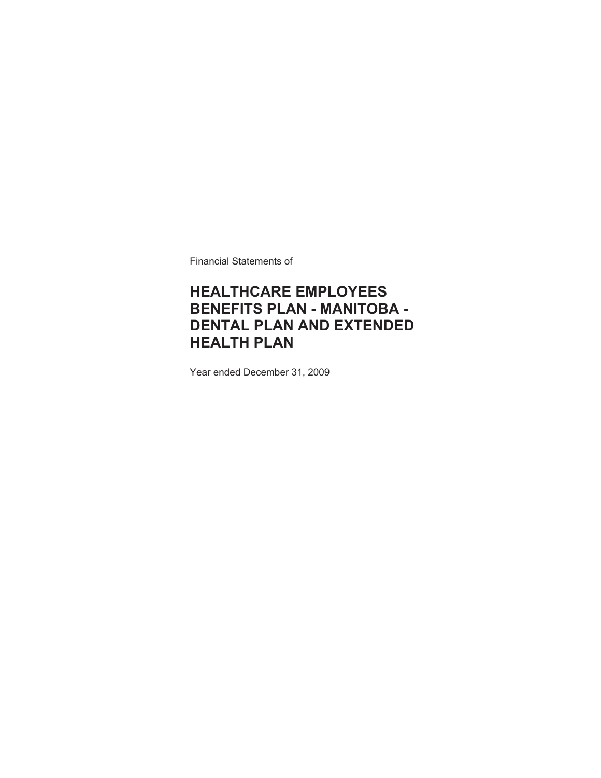Financial Statements of

### **HEALTHCARE EMPLOYEES BENEFITS PLAN - MANITOBA - DENTAL PLAN AND EXTENDED HEALTH PLAN**

Year ended December 31, 2009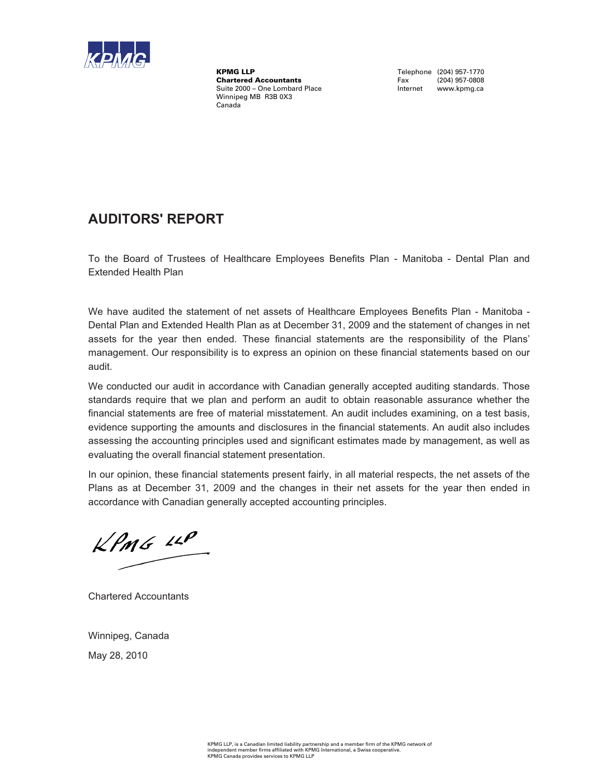

KPMG LLP<br>
Chartered Accountants<br>
Chartered Accountants<br>
Tax (204) 957-0808 **Chartered Accountants** Suite 2000 – One Lombard Place **Internet www.kpmg.ca** Winnipeg MB R3B 0X3 Canada

### **AUDITORS' REPORT**

To the Board of Trustees of Healthcare Employees Benefits Plan - Manitoba - Dental Plan and Extended Health Plan

We have audited the statement of net assets of Healthcare Employees Benefits Plan - Manitoba - Dental Plan and Extended Health Plan as at December 31, 2009 and the statement of changes in net assets for the year then ended. These financial statements are the responsibility of the Plans' management. Our responsibility is to express an opinion on these financial statements based on our audit.

We conducted our audit in accordance with Canadian generally accepted auditing standards. Those standards require that we plan and perform an audit to obtain reasonable assurance whether the financial statements are free of material misstatement. An audit includes examining, on a test basis, evidence supporting the amounts and disclosures in the financial statements. An audit also includes assessing the accounting principles used and significant estimates made by management, as well as evaluating the overall financial statement presentation.

In our opinion, these financial statements present fairly, in all material respects, the net assets of the Plans as at December 31, 2009 and the changes in their net assets for the year then ended in accordance with Canadian generally accepted accounting principles.

 $KPMS$   $\mu P$ 

Chartered Accountants

Winnipeg, Canada May 28, 2010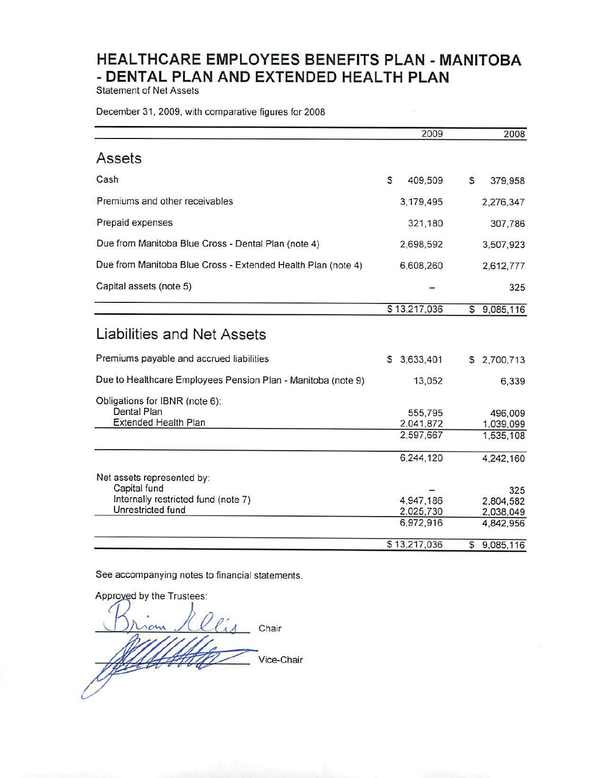**Statement of Net Assets** 

December 31, 2009, with comparative figures for 2008

|                                                              | 2009           | 2008            |
|--------------------------------------------------------------|----------------|-----------------|
| Assets                                                       |                |                 |
| Cash                                                         | S<br>409,509   | s<br>379,958    |
| Premiums and other receivables                               | 3,179,495      | 2,276,347       |
| Prepaid expenses                                             | 321,180        | 307,786         |
| Due from Manitoba Blue Cross - Dental Plan (note 4)          | 2,698,592      | 3,507,923       |
| Due from Manitoba Blue Cross - Extended Health Plan (note 4) | 6,608,260      | 2,612,777       |
| Capital assets (note 5)                                      |                | 325             |
|                                                              | \$13,217,036   | \$9,085,116     |
| Liabilities and Net Assets                                   |                |                 |
| Premiums payable and accrued liabilities                     | 3,633,401<br>s | 2,700,713<br>s  |
| Due to Healthcare Employees Pension Plan - Manitoba (note 9) | 13,052         | 6,339           |
| Obligations for IBNR (note 6):                               |                |                 |
| Dental Plan                                                  | 555,795        | 496,009         |
| <b>Extended Health Plan</b>                                  | 2,041,872      | 1,039,099       |
|                                                              | 2,597,667      | 1,535,108       |
|                                                              | 6,244,120      | 4,242,160       |
| Net assets represented by:                                   |                |                 |
| Capital fund                                                 |                | 325             |
| Internally restricted fund (note 7)                          | 4,947,186      | 2,804,582       |
| Unrestricted fund                                            | 2,025,730      | 2,038,049       |
|                                                              | 6,972,916      | 4,842,956       |
|                                                              | \$13,217,036   | 9,085,116<br>\$ |

See accompanying notes to financial statements.

Approved by the Trustees: Chair Vice-Chair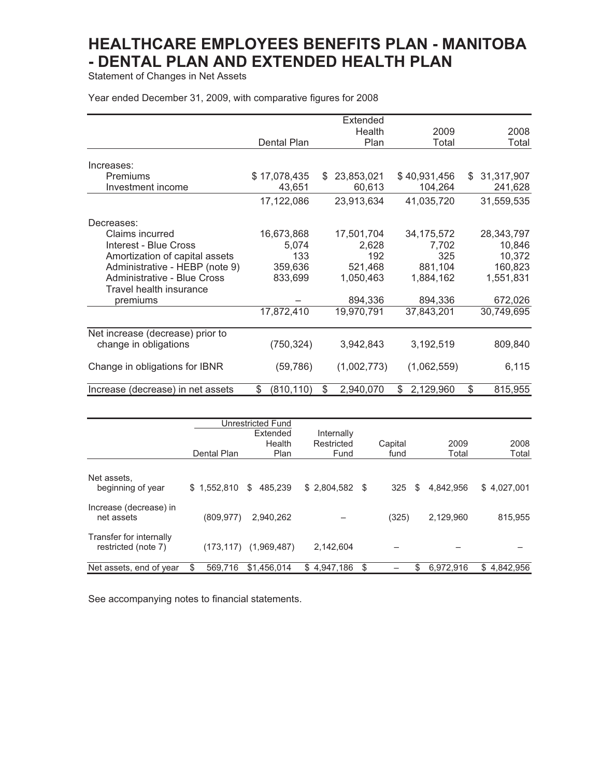Statement of Changes in Net Assets

Year ended December 31, 2009, with comparative figures for 2008

|                                    |                  |    | Extended    |                |    |            |
|------------------------------------|------------------|----|-------------|----------------|----|------------|
|                                    |                  |    | Health      | 2009           |    | 2008       |
|                                    | Dental Plan      |    | Plan        | Total          |    | Total      |
|                                    |                  |    |             |                |    |            |
| Increases:                         |                  |    |             |                |    |            |
| Premiums                           | \$17,078,435     | S. | 23,853,021  | \$40,931,456   | S. | 31,317,907 |
| Investment income                  | 43,651           |    | 60,613      | 104,264        |    | 241,628    |
|                                    | 17,122,086       |    | 23,913,634  | 41,035,720     |    | 31,559,535 |
| Decreases:                         |                  |    |             |                |    |            |
| Claims incurred                    | 16,673,868       |    | 17,501,704  | 34, 175, 572   |    | 28,343,797 |
| Interest - Blue Cross              | 5,074            |    | 2,628       | 7,702          |    | 10,846     |
| Amortization of capital assets     | 133              |    | 192         | 325            |    | 10,372     |
| Administrative - HEBP (note 9)     | 359,636          |    | 521,468     | 881,104        |    | 160,823    |
| <b>Administrative - Blue Cross</b> | 833,699          |    | 1,050,463   | 1,884,162      |    | 1,551,831  |
| Travel health insurance            |                  |    |             |                |    |            |
| premiums                           |                  |    | 894,336     | 894,336        |    | 672,026    |
|                                    | 17,872,410       |    | 19,970,791  | 37,843,201     |    | 30,749,695 |
|                                    |                  |    |             |                |    |            |
| Net increase (decrease) prior to   |                  |    |             |                |    |            |
| change in obligations              | (750, 324)       |    | 3,942,843   | 3,192,519      |    | 809,840    |
| Change in obligations for IBNR     | (59, 786)        |    | (1,002,773) | (1,062,559)    |    | 6,115      |
|                                    |                  |    |             |                |    |            |
| Increase (decrease) in net assets  | \$<br>(810, 110) | \$ | 2,940,070   | 2,129,960<br>S | \$ | 815,955    |

|                                                |              | Unrestricted Fund<br>Extended | Internally         |      |                 |    |               |                 |
|------------------------------------------------|--------------|-------------------------------|--------------------|------|-----------------|----|---------------|-----------------|
|                                                | Dental Plan  | Health<br>Plan                | Restricted<br>Fund |      | Capital<br>fund |    | 2009<br>Total | 2008<br>Total   |
| Net assets,<br>beginning of year               | \$1,552,810  | \$<br>485.239                 | \$2,804,582        | - \$ | 325             | S  | 4.842.956     | \$4,027,001     |
| Increase (decrease) in<br>net assets           | (809, 977)   | 2.940.262                     |                    |      | (325)           |    | 2,129,960     | 815.955         |
| Transfer for internally<br>restricted (note 7) | (173, 117)   | (1,969,487)                   | 2,142,604          |      |                 |    |               |                 |
| Net assets, end of year                        | 569.716<br>S | \$1.456.014                   | \$4,947,186        | \$   |                 | \$ | 6.972.916     | \$<br>4,842,956 |

See accompanying notes to financial statements.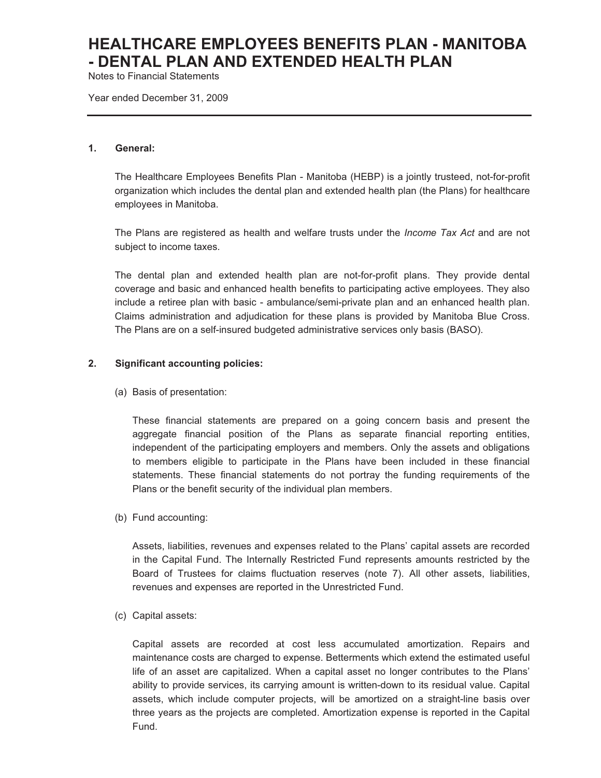Notes to Financial Statements

Year ended December 31, 2009

#### **1. General:**

The Healthcare Employees Benefits Plan - Manitoba (HEBP) is a jointly trusteed, not-for-profit organization which includes the dental plan and extended health plan (the Plans) for healthcare employees in Manitoba.

The Plans are registered as health and welfare trusts under the *Income Tax Act* and are not subject to income taxes*.*

The dental plan and extended health plan are not-for-profit plans. They provide dental coverage and basic and enhanced health benefits to participating active employees. They also include a retiree plan with basic - ambulance/semi-private plan and an enhanced health plan. Claims administration and adjudication for these plans is provided by Manitoba Blue Cross. The Plans are on a self-insured budgeted administrative services only basis (BASO).

#### **2. Significant accounting policies:**

(a) Basis of presentation:

These financial statements are prepared on a going concern basis and present the aggregate financial position of the Plans as separate financial reporting entities, independent of the participating employers and members. Only the assets and obligations to members eligible to participate in the Plans have been included in these financial statements. These financial statements do not portray the funding requirements of the Plans or the benefit security of the individual plan members.

(b) Fund accounting:

Assets, liabilities, revenues and expenses related to the Plans' capital assets are recorded in the Capital Fund. The Internally Restricted Fund represents amounts restricted by the Board of Trustees for claims fluctuation reserves (note 7). All other assets, liabilities, revenues and expenses are reported in the Unrestricted Fund.

(c) Capital assets:

Capital assets are recorded at cost less accumulated amortization. Repairs and maintenance costs are charged to expense. Betterments which extend the estimated useful life of an asset are capitalized. When a capital asset no longer contributes to the Plans' ability to provide services, its carrying amount is written-down to its residual value. Capital assets, which include computer projects, will be amortized on a straight-line basis over three years as the projects are completed. Amortization expense is reported in the Capital Fund.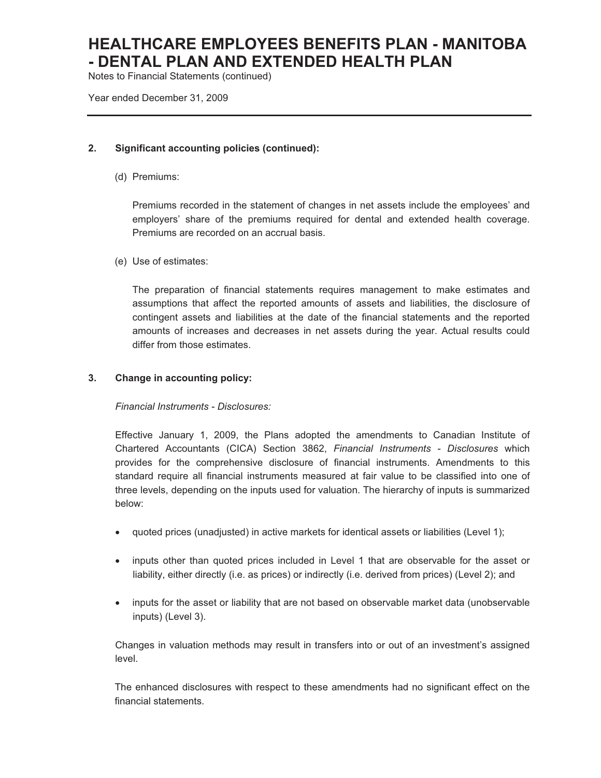Notes to Financial Statements (continued)

Year ended December 31, 2009

### **2. Significant accounting policies (continued):**

(d) Premiums:

Premiums recorded in the statement of changes in net assets include the employees' and employers' share of the premiums required for dental and extended health coverage. Premiums are recorded on an accrual basis.

(e) Use of estimates:

The preparation of financial statements requires management to make estimates and assumptions that affect the reported amounts of assets and liabilities, the disclosure of contingent assets and liabilities at the date of the financial statements and the reported amounts of increases and decreases in net assets during the year. Actual results could differ from those estimates.

### **3. Change in accounting policy:**

#### *Financial Instruments - Disclosures:*

Effective January 1, 2009, the Plans adopted the amendments to Canadian Institute of Chartered Accountants (CICA) Section 3862, *Financial Instruments - Disclosures* which provides for the comprehensive disclosure of financial instruments. Amendments to this standard require all financial instruments measured at fair value to be classified into one of three levels, depending on the inputs used for valuation. The hierarchy of inputs is summarized below:

- quoted prices (unadjusted) in active markets for identical assets or liabilities (Level 1);
- inputs other than quoted prices included in Level 1 that are observable for the asset or liability, either directly (i.e. as prices) or indirectly (i.e. derived from prices) (Level 2); and
- inputs for the asset or liability that are not based on observable market data (unobservable inputs) (Level 3).

Changes in valuation methods may result in transfers into or out of an investment's assigned level.

The enhanced disclosures with respect to these amendments had no significant effect on the financial statements.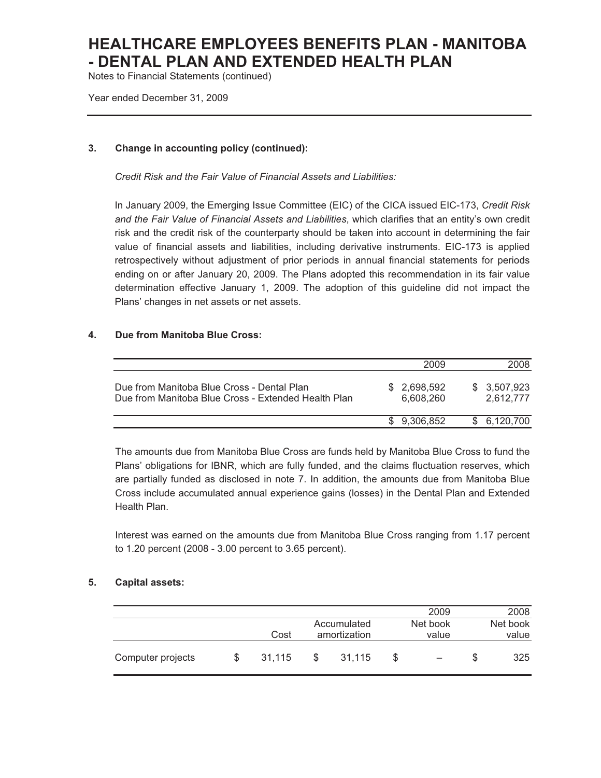Notes to Financial Statements (continued)

Year ended December 31, 2009

### **3. Change in accounting policy (continued):**

*Credit Risk and the Fair Value of Financial Assets and Liabilities:* 

In January 2009, the Emerging Issue Committee (EIC) of the CICA issued EIC-173, *Credit Risk and the Fair Value of Financial Assets and Liabilities*, which clarifies that an entity's own credit risk and the credit risk of the counterparty should be taken into account in determining the fair value of financial assets and liabilities, including derivative instruments. EIC-173 is applied retrospectively without adjustment of prior periods in annual financial statements for periods ending on or after January 20, 2009. The Plans adopted this recommendation in its fair value determination effective January 1, 2009. The adoption of this guideline did not impact the Plans' changes in net assets or net assets.

### **4. Due from Manitoba Blue Cross:**

|                                                                                                   | 2009                      | 2008                      |
|---------------------------------------------------------------------------------------------------|---------------------------|---------------------------|
| Due from Manitoba Blue Cross - Dental Plan<br>Due from Manitoba Blue Cross - Extended Health Plan | \$ 2.698.592<br>6.608.260 | \$ 3.507.923<br>2.612.777 |
|                                                                                                   | \$ 9.306.852              | \$6,120,700               |

The amounts due from Manitoba Blue Cross are funds held by Manitoba Blue Cross to fund the Plans' obligations for IBNR, which are fully funded, and the claims fluctuation reserves, which are partially funded as disclosed in note 7. In addition, the amounts due from Manitoba Blue Cross include accumulated annual experience gains (losses) in the Dental Plan and Extended Health Plan.

Interest was earned on the amounts due from Manitoba Blue Cross ranging from 1.17 percent to 1.20 percent (2008 - 3.00 percent to 3.65 percent).

#### **5. Capital assets:**

|                   |        |   |              |   | 2009     | 2008     |
|-------------------|--------|---|--------------|---|----------|----------|
|                   |        |   | Accumulated  |   | Net book | Net book |
|                   | Cost   |   | amortization |   | value    | value    |
| Computer projects | 31.115 | S | 31,115       | S |          | 325      |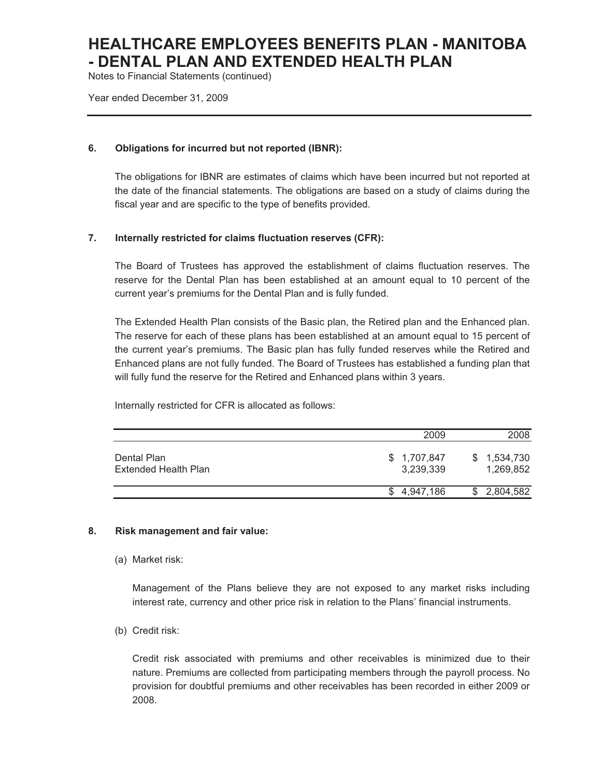Notes to Financial Statements (continued)

Year ended December 31, 2009

#### **6. Obligations for incurred but not reported (IBNR):**

The obligations for IBNR are estimates of claims which have been incurred but not reported at the date of the financial statements. The obligations are based on a study of claims during the fiscal year and are specific to the type of benefits provided.

#### **7. Internally restricted for claims fluctuation reserves (CFR):**

The Board of Trustees has approved the establishment of claims fluctuation reserves. The reserve for the Dental Plan has been established at an amount equal to 10 percent of the current year's premiums for the Dental Plan and is fully funded.

The Extended Health Plan consists of the Basic plan, the Retired plan and the Enhanced plan. The reserve for each of these plans has been established at an amount equal to 15 percent of the current year's premiums. The Basic plan has fully funded reserves while the Retired and Enhanced plans are not fully funded. The Board of Trustees has established a funding plan that will fully fund the reserve for the Retired and Enhanced plans within 3 years.

Internally restricted for CFR is allocated as follows:

|                                     | 2009                      | 2008                        |
|-------------------------------------|---------------------------|-----------------------------|
| Dental Plan<br>Extended Health Plan | \$ 1,707,847<br>3,239,339 | 1,534,730<br>S<br>1,269,852 |
|                                     | 4.947.186                 | 2,804,582                   |

#### **8. Risk management and fair value:**

#### (a) Market risk:

Management of the Plans believe they are not exposed to any market risks including interest rate, currency and other price risk in relation to the Plans' financial instruments.

(b) Credit risk:

Credit risk associated with premiums and other receivables is minimized due to their nature. Premiums are collected from participating members through the payroll process. No provision for doubtful premiums and other receivables has been recorded in either 2009 or 2008.